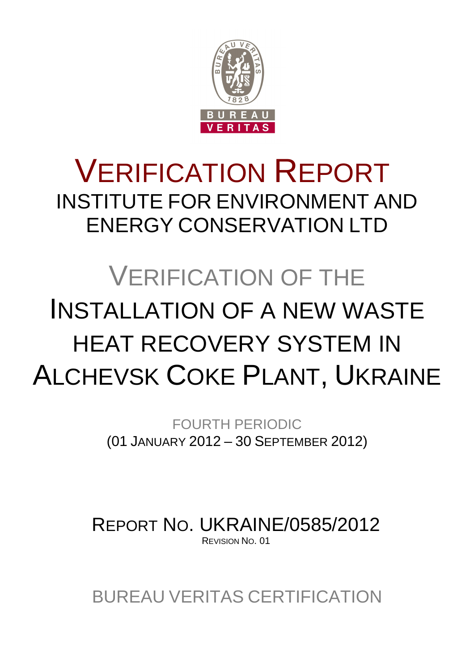

# VERIFICATION REPORT INSTITUTE FOR ENVIRONMENT AND ENERGY CONSERVATION LTD

# VERIFICATION OF THE INSTALLATION OF A NEW WASTE HEAT RECOVERY SYSTEM IN ALCHEVSK COKE PLANT, UKRAINE

FOURTH PERIODIC (01 JANUARY 2012 – 30 SEPTEMBER 2012)

REPORT NO. UKRAINE/0585/2012 REVISION NO. 01

BUREAU VERITAS CERTIFICATION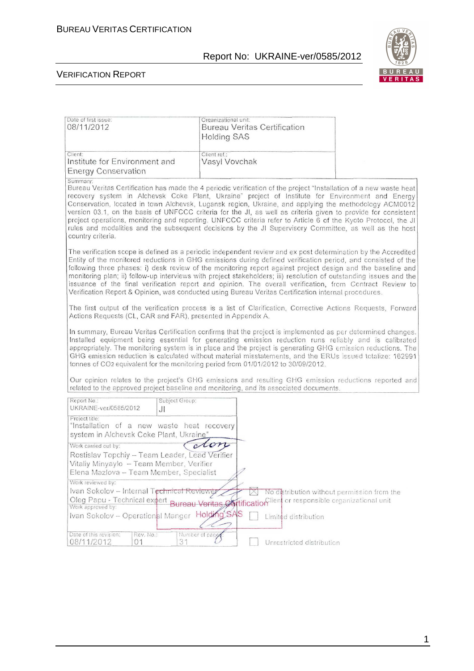

| Date of first issue:<br>08/11/2012                                                                                                                                                                                                                                                                                                                                                                                                                                                                                                                                                                                                                                                                            | Organizational unit:<br><b>Bureau Veritas Certification</b><br><b>Holding SAS</b> |                                                                     |  |
|---------------------------------------------------------------------------------------------------------------------------------------------------------------------------------------------------------------------------------------------------------------------------------------------------------------------------------------------------------------------------------------------------------------------------------------------------------------------------------------------------------------------------------------------------------------------------------------------------------------------------------------------------------------------------------------------------------------|-----------------------------------------------------------------------------------|---------------------------------------------------------------------|--|
| Client:<br>Institute for Environment and<br><b>Energy Conservation</b>                                                                                                                                                                                                                                                                                                                                                                                                                                                                                                                                                                                                                                        | Client ref.:<br>Vasyl Vovchak                                                     |                                                                     |  |
| Summary:<br>Bureau Veritas Certification has made the 4 periodic verification of the project "Installation of a new waste heat<br>recovery system in Alchevsk Coke Plant, Ukraine" project of Institute for Environment and Energy<br>Conservation, located in town Alchevsk, Lugansk region, Ukraine, and applying the methodology ACM0012<br>version 03.1, on the basis of UNFCCC criteria for the JI, as well as criteria given to provide for consistent<br>project operations, monitoring and reporting. UNFCCC criteria refer to Article 6 of the Kyoto Protocol, the JI<br>rules and modalities and the subsequent decisions by the JI Supervisory Committee, as well as the host<br>country criteria. |                                                                                   |                                                                     |  |
| The verification scope is defined as a periodic independent review and ex post determination by the Accredited<br>Entity of the monitored reductions in GHG emissions during defined verification period, and consisted of the<br>following three phases: i) desk review of the monitoring report against project design and the baseline and<br>monitoring plan; ii) follow-up interviews with project stakeholders; iii) resolution of outstanding issues and the<br>issuance of the final verification report and opinion. The overall verification, from Contract Review to<br>Verification Report & Opinion, was conducted using Bureau Veritas Certification internal procedures.                       |                                                                                   |                                                                     |  |
| The first output of the verification process is a list of Clarification, Corrective Actions Requests, Forward<br>Actions Requests (CL, CAR and FAR), presented in Appendix A.                                                                                                                                                                                                                                                                                                                                                                                                                                                                                                                                 |                                                                                   |                                                                     |  |
| In summary, Bureau Veritas Certification confirms that the project is implemented as per determined changes.<br>Installed equipment being essential for generating emission reduction runs reliably and is calibrated<br>appropriately. The monitoring system is in place and the project is generating GHG emission reductions. The<br>GHG emission reduction is calculated without material misstatements, and the ERUs issued totalize: 162991<br>tonnes of CO2 equivalent for the monitoring period from 01/01/2012 to 30/09/2012.                                                                                                                                                                        |                                                                                   |                                                                     |  |
| Our opinion relates to the project's GHG emissions and resulting GHG emission reductions reported and<br>related to the approved project baseline and monitoring, and its associated documents.                                                                                                                                                                                                                                                                                                                                                                                                                                                                                                               |                                                                                   |                                                                     |  |
| Report No.:<br>Subject Group:<br>UKRAINE-ver/0585/2012<br>JI                                                                                                                                                                                                                                                                                                                                                                                                                                                                                                                                                                                                                                                  |                                                                                   |                                                                     |  |
| Project title:<br>"Installation of a new waste heat recovery<br>system in Alchevsk Coke Plant, Ukraine"                                                                                                                                                                                                                                                                                                                                                                                                                                                                                                                                                                                                       |                                                                                   |                                                                     |  |
| Work carried out by:<br>Rostislav Topchiy - Team Leader, Lead Verifier<br>Vitaliy Minyaylo - Team Member, Verifier<br>Elena Mazlova - Team Member, Specialist                                                                                                                                                                                                                                                                                                                                                                                                                                                                                                                                                 | don                                                                               |                                                                     |  |
| Work reviewed by:<br>Ivan Sokolov - Internal Technical Reviewer<br>Oleg Papu - Technical expert Bureau Veritas Øtification lient or responsible organizational unit<br>Work approved by:<br>Ivan Sokolov - Operational Manger Holding'SAS                                                                                                                                                                                                                                                                                                                                                                                                                                                                     |                                                                                   | No distribution without permission from the<br>Limited distribution |  |
| Date of this revision:<br>Rev. No.:<br>31<br>08/11/2012<br>01                                                                                                                                                                                                                                                                                                                                                                                                                                                                                                                                                                                                                                                 | Number of page                                                                    | Unrestricted distribution                                           |  |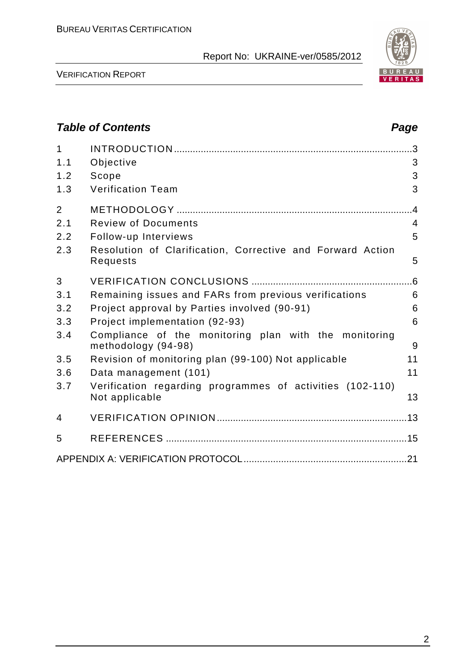

VERIFICATION REPORT

# **Table of Contents Page 2014** 1 INTRODUCTION ......................................................................................... 3 1.1 Objective 3 1.2 Scope 3 1.3 Verification Team 3 2 METHODOLOGY ........................................................................................ 4 2.1 Review of Documents 4 2.2 Follow-up Interviews 5 2.3 Resolution of Clarification, Corrective and Forward Action Requests 5 3 VERIFICATION CONCLUSIONS ............................................................ 6 3.1 Remaining issues and FARs from previous verifications 6 3.2 Project approval by Parties involved (90-91) 6 3.3 Project implementation (92-93) 6 3.4 Compliance of the monitoring plan with the monitoring methodology (94-98) 9 3.5 Revision of monitoring plan (99-100) Not applicable 11 3.6 Data management (101) 11 3.7 Verification regarding programmes of activities (102-110) Not applicable 13 4 VERIFICATION OPINION ....................................................................... 13 5 REFERENCES .......................................................................................... 15 APPENDIX A: VERIFICATION PROTOCOL ............................................................. 21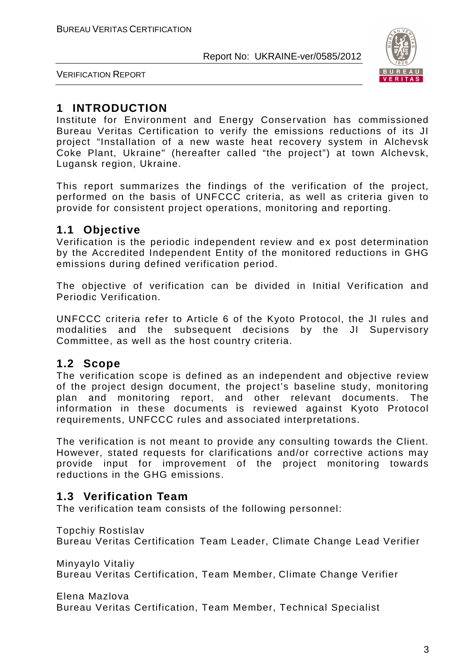

VERIFICATION REPORT

# **1 INTRODUCTION**

Institute for Environment and Energy Conservation has commissioned Bureau Veritas Certification to verify the emissions reductions of its JI project "Installation of a new waste heat recovery system in Alchevsk Coke Plant, Ukraine" (hereafter called "the project") at town Alchevsk, Lugansk region, Ukraine.

This report summarizes the findings of the verification of the project, performed on the basis of UNFCCC criteria, as well as criteria given to provide for consistent project operations, monitoring and reporting.

# **1.1 Objective**

Verification is the periodic independent review and ex post determination by the Accredited Independent Entity of the monitored reductions in GHG emissions during defined verification period.

The objective of verification can be divided in Initial Verification and Periodic Verification.

UNFCCC criteria refer to Article 6 of the Kyoto Protocol, the JI rules and modalities and the subsequent decisions by the JI Supervisory Committee, as well as the host country criteria.

# **1.2 Scope**

The verification scope is defined as an independent and objective review of the project design document, the project's baseline study, monitoring plan and monitoring report, and other relevant documents. The information in these documents is reviewed against Kyoto Protocol requirements, UNFCCC rules and associated interpretations.

The verification is not meant to provide any consulting towards the Client. However, stated requests for clarifications and/or corrective actions may provide input for improvement of the project monitoring towards reductions in the GHG emissions.

# **1.3 Verification Team**

The verification team consists of the following personnel:

Topchiy Rostislav

Bureau Veritas Certification Team Leader, Climate Change Lead Verifier

Minyaylo Vitaliy Bureau Veritas Certification, Team Member, Climate Change Verifier

Elena Mazlova

Bureau Veritas Certification, Team Member, Technical Specialist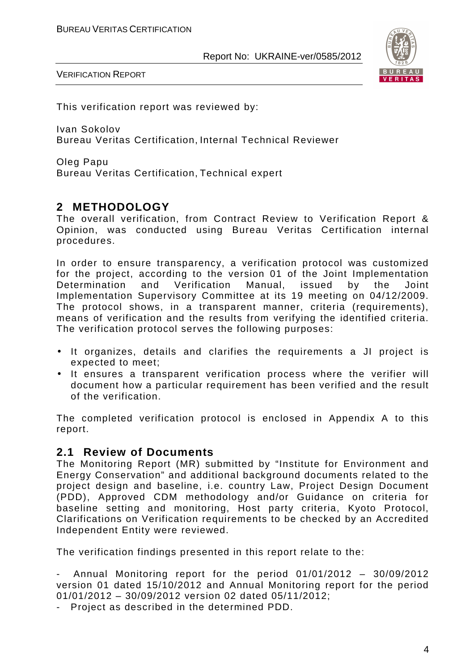

VERIFICATION REPORT

This verification report was reviewed by:

Ivan Sokolov Bureau Veritas Certification, Internal Technical Reviewer

Oleg Papu Bureau Veritas Certification, Technical expert

# **2 METHODOLOGY**

The overall verification, from Contract Review to Verification Report & Opinion, was conducted using Bureau Veritas Certification internal procedures.

In order to ensure transparency, a verification protocol was customized for the project, according to the version 01 of the Joint Implementation Determination and Verification Manual, issued by the Joint Implementation Supervisory Committee at its 19 meeting on 04/12/2009. The protocol shows, in a transparent manner, criteria (requirements), means of verification and the results from verifying the identified criteria. The verification protocol serves the following purposes:

- It organizes, details and clarifies the requirements a JI project is expected to meet;
- It ensures a transparent verification process where the verifier will document how a particular requirement has been verified and the result of the verification.

The completed verification protocol is enclosed in Appendix A to this report.

# **2.1 Review of Documents**

The Monitoring Report (MR) submitted by "Institute for Environment and Energy Conservation" and additional background documents related to the project design and baseline, i.e. country Law, Project Design Document (PDD), Approved CDM methodology and/or Guidance on criteria for baseline setting and monitoring, Host party criteria, Kyoto Protocol, Clarifications on Verification requirements to be checked by an Accredited Independent Entity were reviewed.

The verification findings presented in this report relate to the:

- Annual Monitoring report for the period 01/01/2012 – 30/09/2012 version 01 dated 15/10/2012 and Annual Monitoring report for the period 01/01/2012 – 30/09/2012 version 02 dated 05/11/2012;

- Project as described in the determined PDD.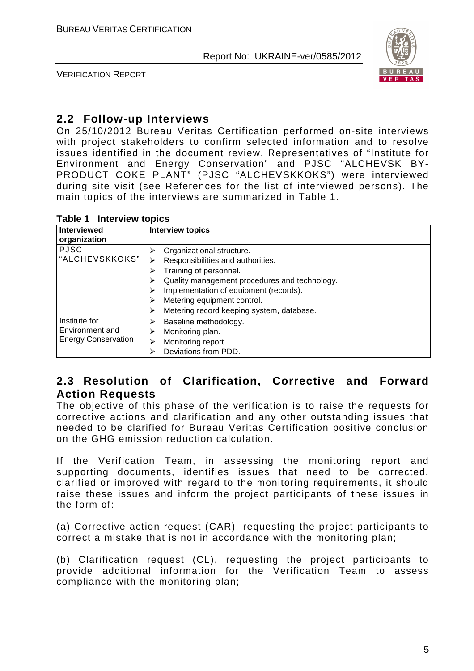

VERIFICATION REPORT

# **2.2 Follow-up Interviews**

On 25/10/2012 Bureau Veritas Certification performed on-site interviews with project stakeholders to confirm selected information and to resolve issues identified in the document review. Representatives of "Institute for Environment and Energy Conservation" and PJSC "ALCHEVSK BY-PRODUCT COKE PLANT" (PJSC "ALCHEVSKKOKS") were interviewed during site visit (see References for the list of interviewed persons). The main topics of the interviews are summarized in Table 1.

|  |  | Table 1 Interview topics |  |
|--|--|--------------------------|--|
|--|--|--------------------------|--|

| Interviewed<br>organization                                    | <b>Interview topics</b>                                                                                                                                                                                                                                         |
|----------------------------------------------------------------|-----------------------------------------------------------------------------------------------------------------------------------------------------------------------------------------------------------------------------------------------------------------|
| <b>PJSC</b><br>"ALCHEVSKKOKS"                                  | Organizational structure.<br>Responsibilities and authorities.<br>Training of personnel.<br>Quality management procedures and technology.<br>Implementation of equipment (records).<br>Metering equipment control.<br>Metering record keeping system, database. |
| Institute for<br>Environment and<br><b>Energy Conservation</b> | Baseline methodology.<br>⋗<br>Monitoring plan.<br>Monitoring report.<br>Deviations from PDD.                                                                                                                                                                    |

# **2.3 Resolution of Clarification, Corrective and Forward Action Requests**

The objective of this phase of the verification is to raise the requests for corrective actions and clarification and any other outstanding issues that needed to be clarified for Bureau Veritas Certification positive conclusion on the GHG emission reduction calculation.

If the Verification Team, in assessing the monitoring report and supporting documents, identifies issues that need to be corrected, clarified or improved with regard to the monitoring requirements, it should raise these issues and inform the project participants of these issues in the form of:

(a) Corrective action request (CAR), requesting the project participants to correct a mistake that is not in accordance with the monitoring plan;

(b) Clarification request (CL), requesting the project participants to provide additional information for the Verification Team to assess compliance with the monitoring plan;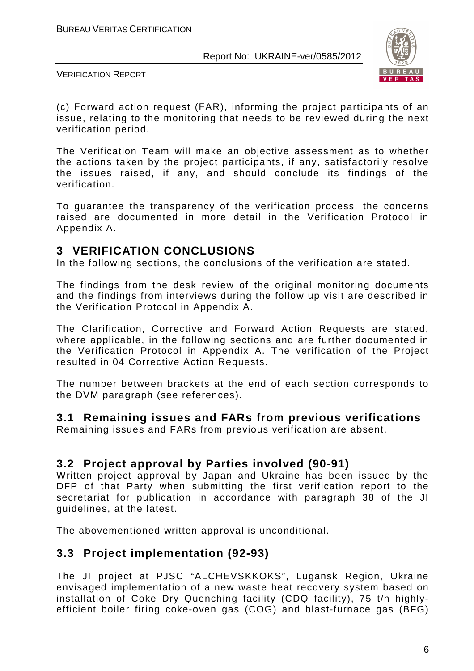

VERIFICATION REPORT

(c) Forward action request (FAR), informing the project participants of an issue, relating to the monitoring that needs to be reviewed during the next verification period.

The Verification Team will make an objective assessment as to whether the actions taken by the project participants, if any, satisfactorily resolve the issues raised, if any, and should conclude its findings of the verification.

To guarantee the transparency of the verification process, the concerns raised are documented in more detail in the Verification Protocol in Appendix A.

# **3 VERIFICATION CONCLUSIONS**

In the following sections, the conclusions of the verification are stated.

The findings from the desk review of the original monitoring documents and the findings from interviews during the follow up visit are described in the Verification Protocol in Appendix A.

The Clarification, Corrective and Forward Action Requests are stated, where applicable, in the following sections and are further documented in the Verification Protocol in Appendix A. The verification of the Project resulted in 04 Corrective Action Requests.

The number between brackets at the end of each section corresponds to the DVM paragraph (see references).

# **3.1 Remaining issues and FARs from previous verifications**

Remaining issues and FARs from previous verification are absent.

# **3.2 Project approval by Parties involved (90-91)**

Written project approval by Japan and Ukraine has been issued by the DFP of that Party when submitting the first verification report to the secretariat for publication in accordance with paragraph 38 of the JI guidelines, at the latest.

The abovementioned written approval is unconditional.

# **3.3 Project implementation (92-93)**

The JI project at PJSC "ALCHEVSKKOKS", Lugansk Region, Ukraine envisaged implementation of a new waste heat recovery system based on installation of Coke Dry Quenching facility (CDQ facility), 75 t/h highlyefficient boiler firing coke-oven gas (COG) and blast-furnace gas (BFG)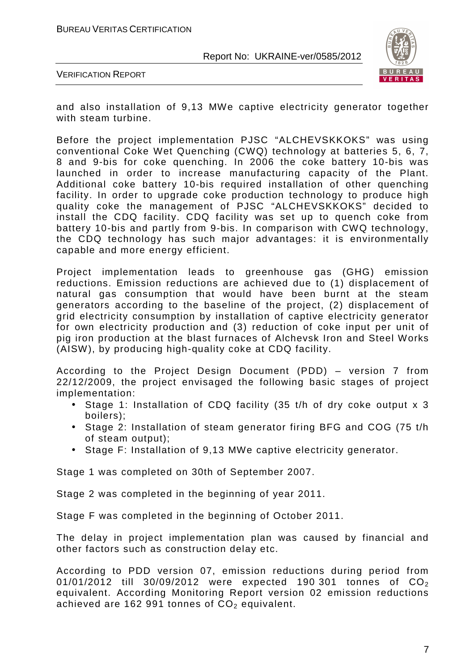

VERIFICATION REPORT

and also installation of 9,13 MWe captive electricity generator together with steam turbine.

Before the project implementation PJSC "ALCHEVSKKOKS" was using conventional Coke Wet Quenching (CWQ) technology at batteries 5, 6, 7, 8 and 9-bis for coke quenching. In 2006 the coke battery 10-bis was launched in order to increase manufacturing capacity of the Plant. Additional coke battery 10-bis required installation of other quenching facility. In order to upgrade coke production technology to produce high quality coke the management of PJSC "ALCHEVSKKOKS" decided to install the CDQ facility. CDQ facility was set up to quench coke from battery 10-bis and partly from 9-bis. In comparison with CWQ technology, the CDQ technology has such major advantages: it is environmentally capable and more energy efficient.

Project implementation leads to greenhouse gas (GHG) emission reductions. Emission reductions are achieved due to (1) displacement of natural gas consumption that would have been burnt at the steam generators according to the baseline of the project, (2) displacement of grid electricity consumption by installation of captive electricity generator for own electricity production and (3) reduction of coke input per unit of pig iron production at the blast furnaces of Alchevsk Iron and Steel Works (AISW), by producing high-quality coke at CDQ facility.

According to the Project Design Document (PDD) – version 7 from 22/12/2009, the project envisaged the following basic stages of project implementation:

- Stage 1: Installation of CDQ facility (35 t/h of dry coke output x 3 boilers);
- Stage 2: Installation of steam generator firing BFG and COG (75 t/h of steam output);
- Stage F: Installation of 9,13 MWe captive electricity generator.

Stage 1 was completed on 30th of September 2007.

Stage 2 was completed in the beginning of year 2011.

Stage F was completed in the beginning of October 2011.

The delay in project implementation plan was caused by financial and other factors such as construction delay etc.

According to PDD version 07, emission reductions during period from 01/01/2012 till 30/09/2012 were expected 190 301 tonnes of  $CO<sub>2</sub>$ equivalent. According Monitoring Report version 02 emission reductions achieved are 162 991 tonnes of  $CO<sub>2</sub>$  equivalent.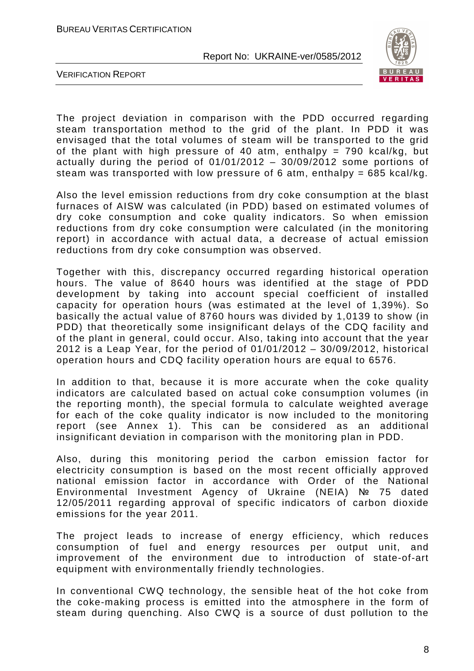

VERIFICATION REPORT

The project deviation in comparison with the PDD occurred regarding steam transportation method to the grid of the plant. In PDD it was envisaged that the total volumes of steam will be transported to the grid of the plant with high pressure of 40 atm, enthalpy = 790 kcal/kg, but actually during the period of 01/01/2012 – 30/09/2012 some portions of steam was transported with low pressure of 6 atm, enthalpy =  $685$  kcal/kg.

Also the level emission reductions from dry coke consumption at the blast furnaces of AISW was calculated (in PDD) based on estimated volumes of dry coke consumption and coke quality indicators. So when emission reductions from dry coke consumption were calculated (in the monitoring report) in accordance with actual data, a decrease of actual emission reductions from dry coke consumption was observed.

Together with this, discrepancy occurred regarding historical operation hours. The value of 8640 hours was identified at the stage of PDD development by taking into account special coefficient of installed capacity for operation hours (was estimated at the level of 1,39%). So basically the actual value of 8760 hours was divided by 1,0139 to show (in PDD) that theoretically some insignificant delays of the CDQ facility and of the plant in general, could occur. Also, taking into account that the year 2012 is a Leap Year, for the period of 01/01/2012 – 30/09/2012, historical operation hours and CDQ facility operation hours are equal to 6576.

In addition to that, because it is more accurate when the coke quality indicators are calculated based on actual coke consumption volumes (in the reporting month), the special formula to calculate weighted average for each of the coke quality indicator is now included to the monitoring report (see Annex 1). This can be considered as an additional insignificant deviation in comparison with the monitoring plan in PDD.

Also, during this monitoring period the carbon emission factor for electricity consumption is based on the most recent officially approved national emission factor in accordance with Order of the National Environmental Investment Agency of Ukraine (NEIA) № 75 dated 12/05/2011 regarding approval of specific indicators of carbon dioxide emissions for the year 2011.

The project leads to increase of energy efficiency, which reduces consumption of fuel and energy resources per output unit, and improvement of the environment due to introduction of state-of-art equipment with environmentally friendly technologies.

In conventional CWQ technology, the sensible heat of the hot coke from the coke-making process is emitted into the atmosphere in the form of steam during quenching. Also CWQ is a source of dust pollution to the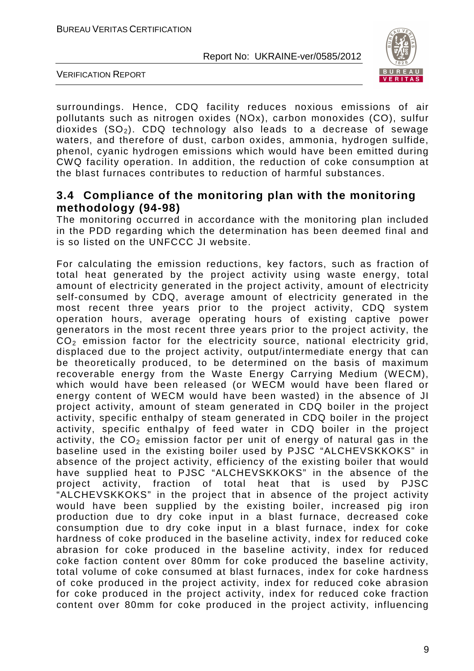

VERIFICATION REPORT

surroundings. Hence, CDQ facility reduces noxious emissions of air pollutants such as nitrogen oxides (NOx), carbon monoxides (CO), sulfur dioxides  $(SO<sub>2</sub>)$ . CDQ technology also leads to a decrease of sewage waters, and therefore of dust, carbon oxides, ammonia, hydrogen sulfide, phenol, cyanic hydrogen emissions which would have been emitted during CWQ facility operation. In addition, the reduction of coke consumption at the blast furnaces contributes to reduction of harmful substances.

# **3.4 Compliance of the monitoring plan with the monitoring methodology (94-98)**

The monitoring occurred in accordance with the monitoring plan included in the PDD regarding which the determination has been deemed final and is so listed on the UNFCCC JI website.

For calculating the emission reductions, key factors, such as fraction of total heat generated by the project activity using waste energy, total amount of electricity generated in the project activity, amount of electricity self-consumed by CDQ, average amount of electricity generated in the most recent three years prior to the project activity, CDQ system operation hours, average operating hours of existing captive power generators in the most recent three years prior to the project activity, the  $CO<sub>2</sub>$  emission factor for the electricity source, national electricity grid, displaced due to the project activity, output/intermediate energy that can be theoretically produced, to be determined on the basis of maximum recoverable energy from the Waste Energy Carrying Medium (WECM), which would have been released (or WECM would have been flared or energy content of WECM would have been wasted) in the absence of JI project activity, amount of steam generated in CDQ boiler in the project activity, specific enthalpy of steam generated in CDQ boiler in the project activity, specific enthalpy of feed water in CDQ boiler in the project activity, the  $CO<sub>2</sub>$  emission factor per unit of energy of natural gas in the baseline used in the existing boiler used by PJSC "ALCHEVSKKOKS" in absence of the project activity, efficiency of the existing boiler that would have supplied heat to PJSC "ALCHEVSKKOKS" in the absence of the project activity, fraction of total heat that is used by PJSC "ALCHEVSKKOKS" in the project that in absence of the project activity would have been supplied by the existing boiler, increased pig iron production due to dry coke input in a blast furnace, decreased coke consumption due to dry coke input in a blast furnace, index for coke hardness of coke produced in the baseline activity, index for reduced coke abrasion for coke produced in the baseline activity, index for reduced coke faction content over 80mm for coke produced the baseline activity, total volume of coke consumed at blast furnaces, index for coke hardness of coke produced in the project activity, index for reduced coke abrasion for coke produced in the project activity, index for reduced coke fraction content over 80mm for coke produced in the project activity, influencing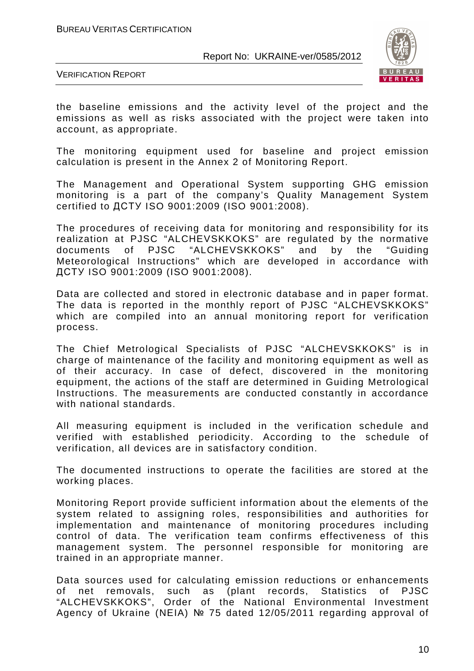

VERIFICATION REPORT

the baseline emissions and the activity level of the project and the emissions as well as risks associated with the project were taken into account, as appropriate.

The monitoring equipment used for baseline and project emission calculation is present in the Annex 2 of Monitoring Report.

The Management and Operational System supporting GHG emission monitoring is a part of the company's Quality Management System certified to ДСТУ ISO 9001:2009 (ISO 9001:2008).

The procedures of receiving data for monitoring and responsibility for its realization at PJSC "ALCHEVSKKOKS" are regulated by the normative documents of PJSC "ALCHEVSKKOKS" and by the "Guiding Meteorological Instructions" which are developed in accordance with ДСТУ ISO 9001:2009 (ISO 9001:2008).

Data are collected and stored in electronic database and in paper format. The data is reported in the monthly report of PJSC "ALCHEVSKKOKS" which are compiled into an annual monitoring report for verification process.

The Chief Metrological Specialists of PJSC "ALCHEVSKKOKS" is in charge of maintenance of the facility and monitoring equipment as well as of their accuracy. In case of defect, discovered in the monitoring equipment, the actions of the staff are determined in Guiding Metrological Instructions. The measurements are conducted constantly in accordance with national standards.

All measuring equipment is included in the verification schedule and verified with established periodicity. According to the schedule of verification, all devices are in satisfactory condition.

The documented instructions to operate the facilities are stored at the working places.

Monitoring Report provide sufficient information about the elements of the system related to assigning roles, responsibilities and authorities for implementation and maintenance of monitoring procedures including control of data. The verification team confirms effectiveness of this management system. The personnel responsible for monitoring are trained in an appropriate manner.

Data sources used for calculating emission reductions or enhancements of net removals, such as (plant records, Statistics of PJSC "ALCHEVSKKOKS", Order of the National Environmental Investment Agency of Ukraine (NEIA) № 75 dated 12/05/2011 regarding approval of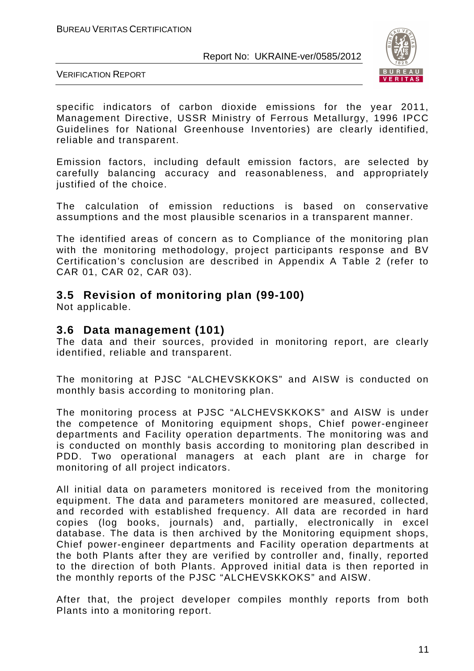

VERIFICATION REPORT

specific indicators of carbon dioxide emissions for the year 2011, Management Directive, USSR Ministry of Ferrous Metallurgy, 1996 IPCC Guidelines for National Greenhouse Inventories) are clearly identified, reliable and transparent.

Emission factors, including default emission factors, are selected by carefully balancing accuracy and reasonableness, and appropriately justified of the choice.

The calculation of emission reductions is based on conservative assumptions and the most plausible scenarios in a transparent manner.

The identified areas of concern as to Compliance of the monitoring plan with the monitoring methodology, project participants response and BV Certification's conclusion are described in Appendix A Table 2 (refer to CAR 01, CAR 02, CAR 03).

# **3.5 Revision of monitoring plan (99-100)**

Not applicable.

### **3.6 Data management (101)**

The data and their sources, provided in monitoring report, are clearly identified, reliable and transparent.

The monitoring at PJSC "ALCHEVSKKOKS" and AISW is conducted on monthly basis according to monitoring plan.

The monitoring process at PJSC "ALCHEVSKKOKS" and AISW is under the competence of Monitoring equipment shops, Chief power-engineer departments and Facility operation departments. The monitoring was and is conducted on monthly basis according to monitoring plan described in PDD. Two operational managers at each plant are in charge for monitoring of all project indicators.

All initial data on parameters monitored is received from the monitoring equipment. The data and parameters monitored are measured, collected, and recorded with established frequency. All data are recorded in hard copies (log books, journals) and, partially, electronically in excel database. The data is then archived by the Monitoring equipment shops, Chief power-engineer departments and Facility operation departments at the both Plants after they are verified by controller and, finally, reported to the direction of both Plants. Approved initial data is then reported in the monthly reports of the PJSC "ALCHEVSKKOKS" and AISW.

After that, the project developer compiles monthly reports from both Plants into a monitoring report.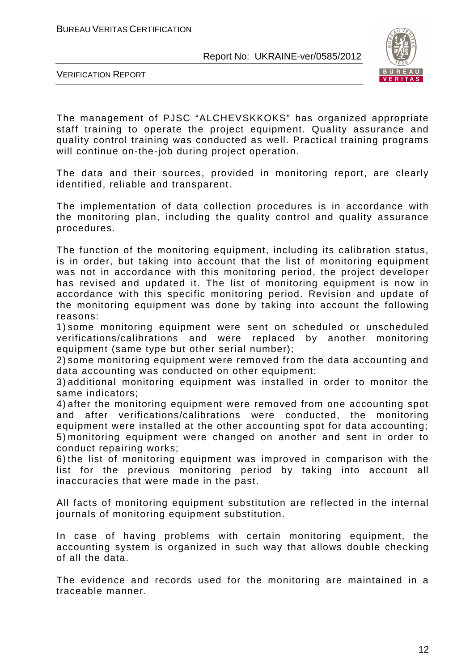

VERIFICATION REPORT

The management of PJSC "ALCHEVSKKOKS" has organized appropriate staff training to operate the project equipment. Quality assurance and quality control training was conducted as well. Practical training programs will continue on-the-job during project operation.

The data and their sources, provided in monitoring report, are clearly identified, reliable and transparent.

The implementation of data collection procedures is in accordance with the monitoring plan, including the quality control and quality assurance procedures.

The function of the monitoring equipment, including its calibration status, is in order, but taking into account that the list of monitoring equipment was not in accordance with this monitoring period, the project developer has revised and updated it. The list of monitoring equipment is now in accordance with this specific monitoring period. Revision and update of the monitoring equipment was done by taking into account the following reasons:

1) some monitoring equipment were sent on scheduled or unscheduled verifications/calibrations and were replaced by another monitoring equipment (same type but other serial number);

2) some monitoring equipment were removed from the data accounting and data accounting was conducted on other equipment;

3) additional monitoring equipment was installed in order to monitor the same indicators;

4) after the monitoring equipment were removed from one accounting spot and after verifications/calibrations were conducted, the monitoring equipment were installed at the other accounting spot for data accounting; 5) monitoring equipment were changed on another and sent in order to conduct repairing works;

6) the list of monitoring equipment was improved in comparison with the list for the previous monitoring period by taking into account all inaccuracies that were made in the past.

All facts of monitoring equipment substitution are reflected in the internal journals of monitoring equipment substitution.

In case of having problems with certain monitoring equipment, the accounting system is organized in such way that allows double checking of all the data.

The evidence and records used for the monitoring are maintained in a traceable manner.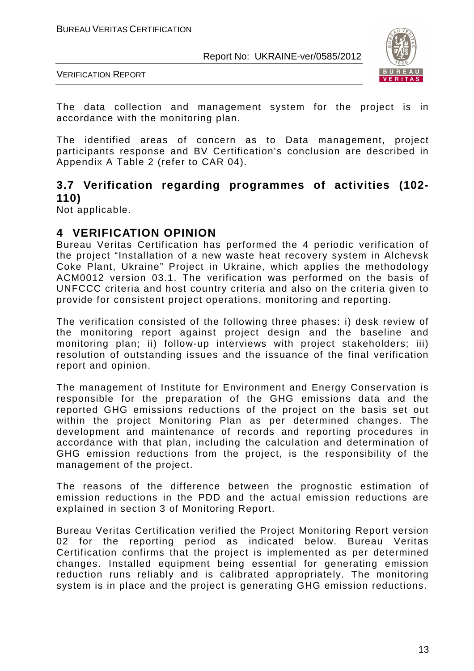



The data collection and management system for the project is in accordance with the monitoring plan.

The identified areas of concern as to Data management, project participants response and BV Certification's conclusion are described in Appendix A Table 2 (refer to CAR 04).

# **3.7 Verification regarding programmes of activities (102- 110)**

Not applicable.

# **4 VERIFICATION OPINION**

Bureau Veritas Certification has performed the 4 periodic verification of the project "Installation of a new waste heat recovery system in Alchevsk Coke Plant, Ukraine" Project in Ukraine, which applies the methodology ACM0012 version 03.1. The verification was performed on the basis of UNFCCC criteria and host country criteria and also on the criteria given to provide for consistent project operations, monitoring and reporting.

The verification consisted of the following three phases: i) desk review of the monitoring report against project design and the baseline and monitoring plan; ii) follow-up interviews with project stakeholders; iii) resolution of outstanding issues and the issuance of the final verification report and opinion.

The management of Institute for Environment and Energy Conservation is responsible for the preparation of the GHG emissions data and the reported GHG emissions reductions of the project on the basis set out within the project Monitoring Plan as per determined changes. The development and maintenance of records and reporting procedures in accordance with that plan, including the calculation and determination of GHG emission reductions from the project, is the responsibility of the management of the project.

The reasons of the difference between the prognostic estimation of emission reductions in the PDD and the actual emission reductions are explained in section 3 of Monitoring Report.

Bureau Veritas Certification verified the Project Monitoring Report version 02 for the reporting period as indicated below. Bureau Veritas Certification confirms that the project is implemented as per determined changes. Installed equipment being essential for generating emission reduction runs reliably and is calibrated appropriately. The monitoring system is in place and the project is generating GHG emission reductions.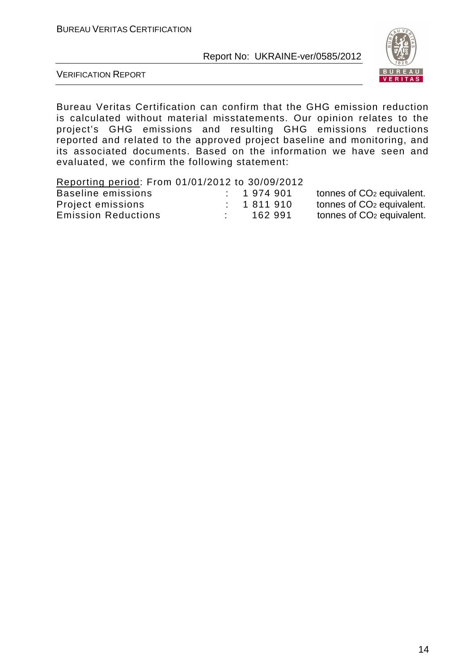

VERIFICATION REPORT

Bureau Veritas Certification can confirm that the GHG emission reduction is calculated without material misstatements. Our opinion relates to the project's GHG emissions and resulting GHG emissions reductions reported and related to the approved project baseline and monitoring, and its associated documents. Based on the information we have seen and evaluated, we confirm the following statement:

#### Reporting period: From 01/01/2012 to 30/09/2012

| Baseline emissions         | 1974901   | tonnes of CO <sub>2</sub> equivalent. |
|----------------------------|-----------|---------------------------------------|
| Project emissions          | 1 811 910 | tonnes of CO <sub>2</sub> equivalent. |
| <b>Emission Reductions</b> | 162 991   | tonnes of CO <sub>2</sub> equivalent. |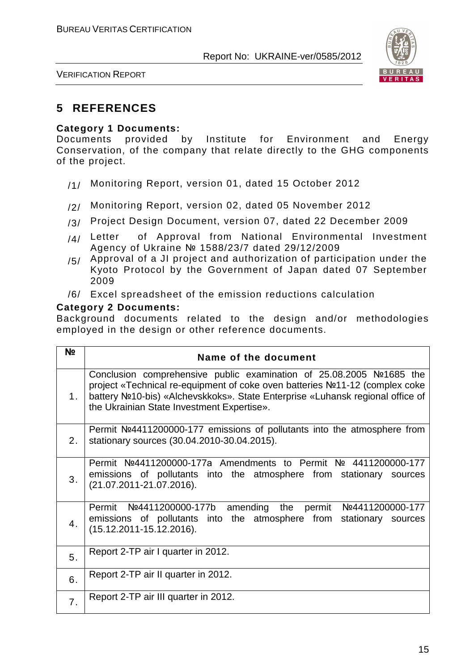

VERIFICATION REPORT

# **5 REFERENCES**

#### **Category 1 Documents:**

Documents provided by Institute for Environment and Energy Conservation, of the company that relate directly to the GHG components of the project.

- /1/ Monitoring Report, version 01, dated 15 October 2012
- /2/ Monitoring Report, version 02, dated 05 November 2012
- /3/ Project Design Document, version 07, dated 22 December 2009
- $/4/$  Letter of Approval from National Environmental Investment Agency of Ukraine № 1588/23/7 dated 29/12/2009
- $/5/$  Approval of a JI project and authorization of participation under the Kyoto Protocol by the Government of Japan dated 07 September 2009
- /6/ Excel spreadsheet of the emission reductions calculation

#### **Category 2 Documents:**

Background documents related to the design and/or methodologies employed in the design or other reference documents.

| N <sub>2</sub> | Name of the document                                                                                                                                                                                                                                                                |
|----------------|-------------------------------------------------------------------------------------------------------------------------------------------------------------------------------------------------------------------------------------------------------------------------------------|
| 1.             | Conclusion comprehensive public examination of 25.08.2005 №1685 the<br>project «Technical re-equipment of coke oven batteries Nº11-12 (complex coke<br>battery Nº10-bis) «Alchevskkoks». State Enterprise «Luhansk regional office of<br>the Ukrainian State Investment Expertise». |
| 2.             | Permit $N24411200000-177$ emissions of pollutants into the atmosphere from<br>stationary sources (30.04.2010-30.04.2015).                                                                                                                                                           |
| 3.             | Permit Nº4411200000-177a Amendments to Permit Nº 4411200000-177<br>emissions of pollutants into the atmosphere from stationary sources<br>(21.07.2011-21.07.2016).                                                                                                                  |
| 4.             | Permit Nº4411200000-177b amending the permit Nº4411200000-177<br>emissions of pollutants into the atmosphere from stationary sources<br>$(15.12.2011 - 15.12.2016).$                                                                                                                |
| 5.             | Report 2-TP air I quarter in 2012.                                                                                                                                                                                                                                                  |
| 6.             | Report 2-TP air II quarter in 2012.                                                                                                                                                                                                                                                 |
| 7.             | Report 2-TP air III quarter in 2012.                                                                                                                                                                                                                                                |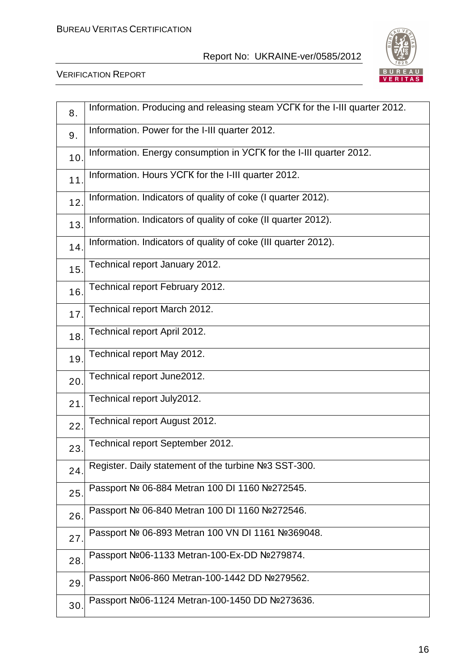

| 8.              | Information. Producing and releasing steam YCFK for the I-III quarter 2012. |
|-----------------|-----------------------------------------------------------------------------|
| 9.              | Information. Power for the I-III quarter 2012.                              |
| 10.             | Information. Energy consumption in YCFK for the I-III quarter 2012.         |
| 11              | Information. Hours YCFK for the I-III quarter 2012.                         |
| 12.             | Information. Indicators of quality of coke (I quarter 2012).                |
| 13.             | Information. Indicators of quality of coke (II quarter 2012).               |
| 14.             | Information. Indicators of quality of coke (III quarter 2012).              |
| 15 <sub>1</sub> | Technical report January 2012.                                              |
| 16.             | Technical report February 2012.                                             |
| 17.             | Technical report March 2012.                                                |
| 18.             | Technical report April 2012.                                                |
| 19.             | Technical report May 2012.                                                  |
| 20.             | Technical report June2012.                                                  |
| 21              | Technical report July2012.                                                  |
| 22.             | Technical report August 2012.                                               |
| 23.             | Technical report September 2012.                                            |
| 24.             | Register. Daily statement of the turbine Nº3 SST-300.                       |
| 25.             | Passport № 06-884 Metran 100 DI 1160 №272545.                               |
| 26.             | Passport № 06-840 Metran 100 DI 1160 №272546.                               |
| 27.             | Passport № 06-893 Metran 100 VN DI 1161 №369048.                            |
| 28.             | Passport №06-1133 Metran-100-Ex-DD №279874.                                 |
| 29.             | Passport Nº06-860 Metran-100-1442 DD Nº279562.                              |
| 30.             | Passport Nº06-1124 Metran-100-1450 DD Nº273636.                             |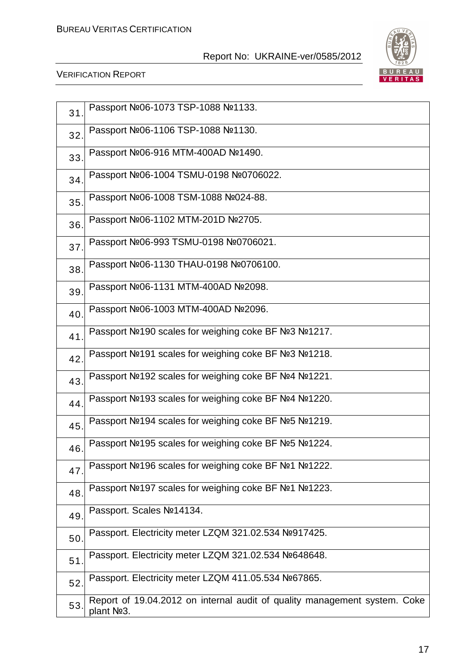

| 31  | Passport №06-1073 TSP-1088 №1133.                                                       |
|-----|-----------------------------------------------------------------------------------------|
| 32. | Passport Nº06-1106 TSP-1088 №1130.                                                      |
| 33. | Passport №06-916 MTM-400AD №1490.                                                       |
| 34. | Passport Nº06-1004 TSMU-0198 Nº0706022.                                                 |
| 35. | Passport №06-1008 TSM-1088 №024-88.                                                     |
| 36. | Passport №06-1102 MTM-201D №2705.                                                       |
| 37. | Passport Nº06-993 TSMU-0198 Nº0706021.                                                  |
| 38  | Passport Nº06-1130 THAU-0198 Nº0706100.                                                 |
| 39. | Passport №06-1131 MTM-400AD №2098.                                                      |
| 40  | Passport №06-1003 MTM-400AD №2096.                                                      |
| 41  | Passport Nº190 scales for weighing coke BF Nº3 Nº1217.                                  |
| 42. | Passport Nº191 scales for weighing coke BF Nº3 Nº1218.                                  |
| 43  | Passport Nº192 scales for weighing coke BF Nº4 Nº1221.                                  |
| 44. | Passport Nº193 scales for weighing coke BF Nº4 Nº1220.                                  |
| 45. | Passport Nº194 scales for weighing coke BF Nº5 Nº1219.                                  |
| 46. | Passport Nº195 scales for weighing coke BF Nº5 Nº1224.                                  |
| 47  | Passport №196 scales for weighing coke BF №1 №1222.                                     |
| 48  | Passport №197 scales for weighing coke BF №1 №1223.                                     |
| 49. | Passport. Scales Nº14134.                                                               |
| 50  | Passport. Electricity meter LZQM 321.02.534 №917425.                                    |
| 51  | Passport. Electricity meter LZQM 321.02.534 №648648.                                    |
| 52. | Passport. Electricity meter LZQM 411.05.534 №67865.                                     |
| 53. | Report of 19.04.2012 on internal audit of quality management system. Coke<br>plant Nº3. |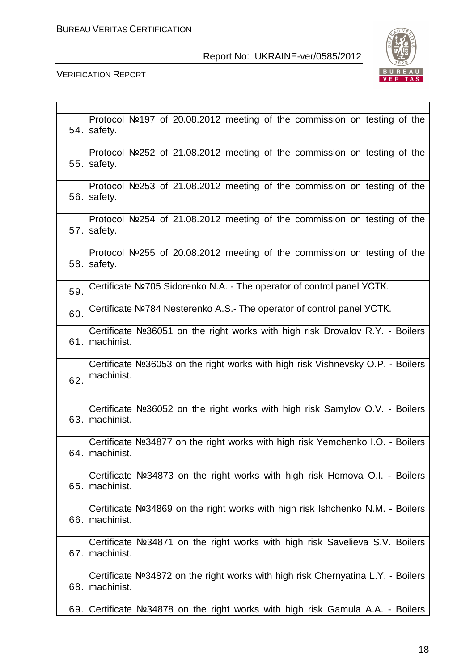

| 54. | Protocol Nº197 of 20.08.2012 meeting of the commission on testing of the<br>safety.              |
|-----|--------------------------------------------------------------------------------------------------|
| 55. | Protocol Nº252 of 21.08.2012 meeting of the commission on testing of the<br>safety.              |
| 56. | Protocol Nº253 of 21.08.2012 meeting of the commission on testing of the<br>safety.              |
| 57. | Protocol Nº254 of 21.08.2012 meeting of the commission on testing of the<br>safety.              |
| 58. | Protocol Nº255 of 20.08.2012 meeting of the commission on testing of the<br>safety.              |
| 59. | Certificate Nº705 Sidorenko N.A. - The operator of control panel YCTK.                           |
| 60. | Certificate Nº784 Nesterenko A.S.- The operator of control panel YCTK.                           |
| 61. | Certificate Nº36051 on the right works with high risk Drovalov R.Y. - Boilers<br>machinist.      |
| 62. | Certificate Nº36053 on the right works with high risk Vishnevsky O.P. - Boilers<br>machinist.    |
| 63. | Certificate Nº36052 on the right works with high risk Samylov O.V. - Boilers<br>machinist.       |
|     | Certificate Nº34877 on the right works with high risk Yemchenko I.O. - Boilers<br>64. machinist. |
| 65. | Certificate Nº34873 on the right works with high risk Homova O.I. - Boilers<br>machinist.        |
| 66. | Certificate Nº34869 on the right works with high risk Ishchenko N.M. - Boilers<br>machinist.     |
| 67. | Certificate Nº34871 on the right works with high risk Savelieva S.V. Boilers<br>machinist.       |
| 68. | Certificate Nº34872 on the right works with high risk Chernyatina L.Y. - Boilers<br>machinist.   |
| 69. | Certificate Nº34878 on the right works with high risk Gamula A.A. - Boilers                      |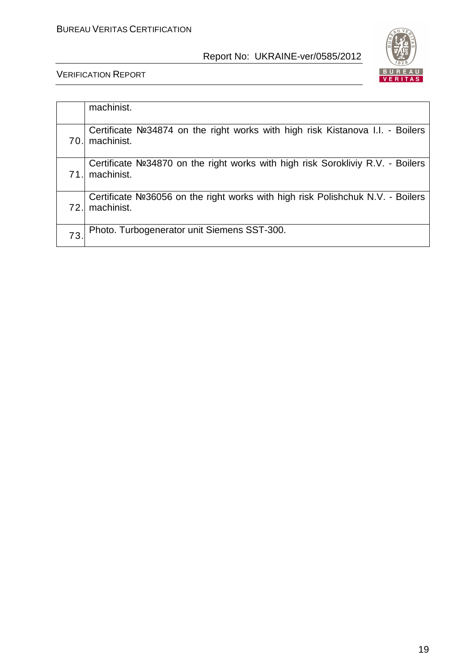

|     | machinist.                                                                                    |
|-----|-----------------------------------------------------------------------------------------------|
| 70. | Certificate Nº34874 on the right works with high risk Kistanova I.I. - Boilers<br>machinist.  |
| 71. | Certificate Nº34870 on the right works with high risk Sorokliviy R.V. - Boilers<br>machinist. |
| 72. | Certificate Nº36056 on the right works with high risk Polishchuk N.V. - Boilers<br>machinist. |
| 73  | Photo. Turbogenerator unit Siemens SST-300.                                                   |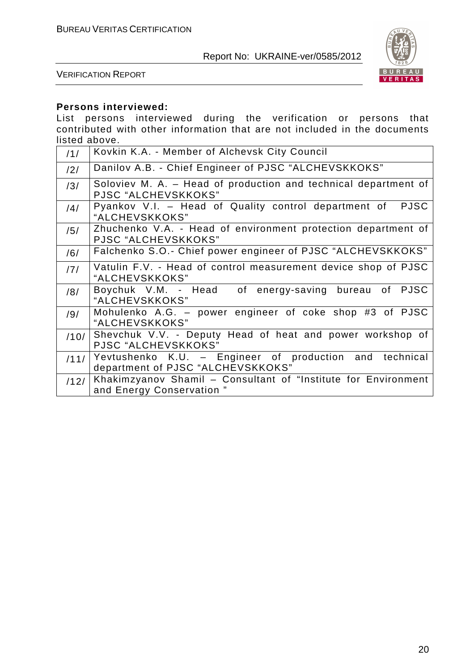

VERIFICATION REPORT

# **Persons interviewed:**

List persons interviewed during the verification or persons that contributed with other information that are not included in the documents listed above.

| /1/  | Kovkin K.A. - Member of Alchevsk City Council                                                |
|------|----------------------------------------------------------------------------------------------|
| /2/  | Danilov A.B. - Chief Engineer of PJSC "ALCHEVSKKOKS"                                         |
| /3/  | Soloviev M. A. – Head of production and technical department of<br>PJSC "ALCHEVSKKOKS"       |
| /4/  | Pyankov V.I. - Head of Quality control department of<br><b>PJSC</b><br>"ALCHEVSKKOKS"        |
| /5/  | Zhuchenko V.A. - Head of environment protection department of<br>PJSC "ALCHEVSKKOKS"         |
| /6/  | Falchenko S.O.- Chief power engineer of PJSC "ALCHEVSKKOKS"                                  |
| /7/  | Vatulin F.V. - Head of control measurement device shop of PJSC<br>"ALCHEVSKKOKS"             |
| /8/  | Boychuk V.M. - Head of energy-saving bureau of PJSC<br>"ALCHEVSKKOKS"                        |
| /9/  | Mohulenko A.G. - power engineer of coke shop #3 of PJSC<br>"ALCHEVSKKOKS"                    |
| /10/ | Shevchuk V.V. - Deputy Head of heat and power workshop of<br>PJSC "ALCHEVSKKOKS"             |
| /11/ | Yevtushenko K.U. - Engineer of production and technical<br>department of PJSC "ALCHEVSKKOKS" |
| /12/ | Khakimzyanov Shamil - Consultant of "Institute for Environment"<br>and Energy Conservation"  |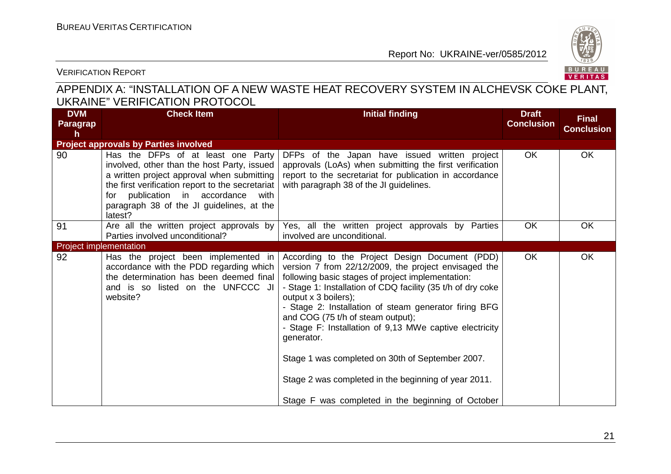

VERIFICATION REPORT

# APPENDIX A: "INSTALLATION OF A NEW WASTE HEAT RECOVERY SYSTEM IN ALCHEVSK COKE PLANT, UKRAINE" VERIFICATION PROTOCOL

| <b>DVM</b><br>Paragrap<br>h   | <b>Check Item</b>                                                                                                                                                                                                                                                                    | <b>Initial finding</b>                                                                                                                                                                                                                                                                                                                                                                                                                                                                                                                                                                     | <b>Draft</b><br><b>Conclusion</b> | <b>Final</b><br><b>Conclusion</b> |
|-------------------------------|--------------------------------------------------------------------------------------------------------------------------------------------------------------------------------------------------------------------------------------------------------------------------------------|--------------------------------------------------------------------------------------------------------------------------------------------------------------------------------------------------------------------------------------------------------------------------------------------------------------------------------------------------------------------------------------------------------------------------------------------------------------------------------------------------------------------------------------------------------------------------------------------|-----------------------------------|-----------------------------------|
|                               | <b>Project approvals by Parties involved</b>                                                                                                                                                                                                                                         |                                                                                                                                                                                                                                                                                                                                                                                                                                                                                                                                                                                            |                                   |                                   |
| 90                            | Has the DFPs of at least one Party<br>involved, other than the host Party, issued<br>a written project approval when submitting<br>the first verification report to the secretariat<br>for publication in accordance<br>with<br>paragraph 38 of the JI guidelines, at the<br>latest? | DFPs of the Japan have issued written project<br>approvals (LoAs) when submitting the first verification<br>report to the secretariat for publication in accordance<br>with paragraph 38 of the JI guidelines.                                                                                                                                                                                                                                                                                                                                                                             | OK                                | OK                                |
| 91                            | Are all the written project approvals by<br>Parties involved unconditional?                                                                                                                                                                                                          | Yes, all the written project approvals by Parties<br>involved are unconditional.                                                                                                                                                                                                                                                                                                                                                                                                                                                                                                           | OK                                | <b>OK</b>                         |
| <b>Project implementation</b> |                                                                                                                                                                                                                                                                                      |                                                                                                                                                                                                                                                                                                                                                                                                                                                                                                                                                                                            |                                   |                                   |
| 92                            | Has the project been implemented in<br>accordance with the PDD regarding which<br>the determination has been deemed final<br>and is so listed on the UNFCCC JI<br>website?                                                                                                           | According to the Project Design Document (PDD)<br>version 7 from 22/12/2009, the project envisaged the<br>following basic stages of project implementation:<br>- Stage 1: Installation of CDQ facility (35 t/h of dry coke<br>output x 3 boilers);<br>- Stage 2: Installation of steam generator firing BFG<br>and COG (75 t/h of steam output);<br>- Stage F: Installation of 9,13 MWe captive electricity<br>generator.<br>Stage 1 was completed on 30th of September 2007.<br>Stage 2 was completed in the beginning of year 2011.<br>Stage F was completed in the beginning of October | <b>OK</b>                         | OK                                |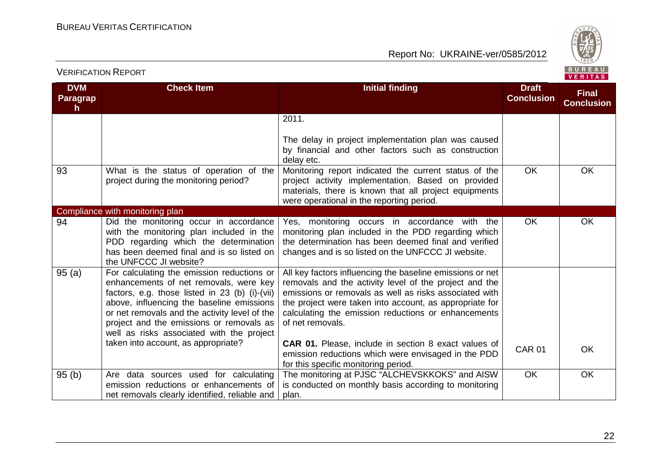

#### **DVM ParagraphCheck Item Initial finding Draft Conclusion Final Conclusion**2011.The delay in project implementation plan was caused by financial and other factors such as constructiondelay etc. Monitoring report indicated the current status of the 93 What is the status of operation of the project during the monitoring period? project activity implementation. Based on provided materials, there is known that all project equipments were operational in the reporting period. **OK OK** Compliance with monitoring plan 94 Did the monitoring occur in accordance with the monitoring plan included in the PDD regarding which the determination has been deemed final and is so listed on the UNFCCC JI website? 95 (a) For calculating the emission reductions or Yes, monitoring occurs in accordance with the monitoring plan included in the PDD regarding which the determination has been deemed final and verified changes and is so listed on the UNFCCC JI website.**OK** K | OK enhancements of net removals, were key factors, e.g. those listed in 23 (b) (i)-(vii) above, influencing the baseline emissions or net removals and the activity level of the project and the emissions or removals as well as risks associated with the project taken into account, as appropriate?All key factors influencing the baseline emissions or net removals and the activity level of the project and the emissions or removals as well as risks associated with the project were taken into account, as appropriate for calculating the emission reductions or enhancementsof net removals.**CAR 01.** Please, include in section 8 exact values of emission reductions which were envisaged in the PDDfor this specific monitoring period. The monitoring at PJSC "ALCHEVSKKOKS" and AISW CAR 01**OK** 95 (b) Are data sources used for calculating emission reductions or enhancements of net removals clearly identified, reliable and is conducted on monthly basis according to monitoring plan. **OK OK**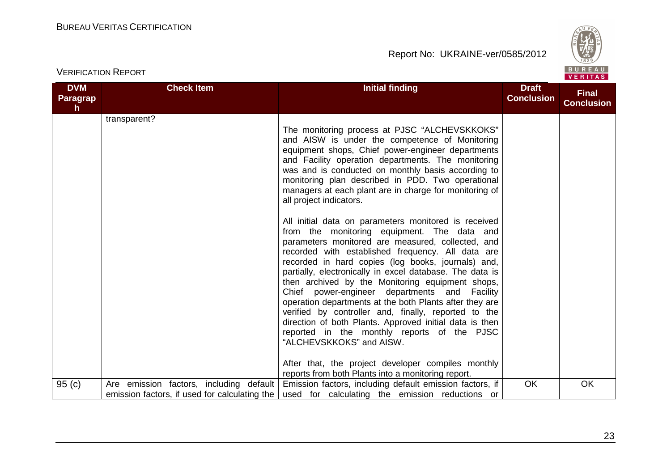

| <b>DVM</b><br><b>Paragrap</b><br>h | <b>Check Item</b>                                                                        | <b>Initial finding</b>                                                                                                                                                                                                                                                                                                                                                                                                                                                                                                                                                                                                                                                                                                                                                                                    | <b>Draft</b><br><b>Conclusion</b> | <b>Final</b><br><b>Conclusion</b> |
|------------------------------------|------------------------------------------------------------------------------------------|-----------------------------------------------------------------------------------------------------------------------------------------------------------------------------------------------------------------------------------------------------------------------------------------------------------------------------------------------------------------------------------------------------------------------------------------------------------------------------------------------------------------------------------------------------------------------------------------------------------------------------------------------------------------------------------------------------------------------------------------------------------------------------------------------------------|-----------------------------------|-----------------------------------|
|                                    | transparent?                                                                             | The monitoring process at PJSC "ALCHEVSKKOKS"<br>and AISW is under the competence of Monitoring<br>equipment shops, Chief power-engineer departments<br>and Facility operation departments. The monitoring<br>was and is conducted on monthly basis according to<br>monitoring plan described in PDD. Two operational<br>managers at each plant are in charge for monitoring of<br>all project indicators.                                                                                                                                                                                                                                                                                                                                                                                                |                                   |                                   |
|                                    |                                                                                          | All initial data on parameters monitored is received<br>from the monitoring equipment. The data and<br>parameters monitored are measured, collected, and<br>recorded with established frequency. All data are<br>recorded in hard copies (log books, journals) and,<br>partially, electronically in excel database. The data is<br>then archived by the Monitoring equipment shops,<br>Chief power-engineer departments and Facility<br>operation departments at the both Plants after they are<br>verified by controller and, finally, reported to the<br>direction of both Plants. Approved initial data is then<br>reported in the monthly reports of the PJSC<br>"ALCHEVSKKOKS" and AISW.<br>After that, the project developer compiles monthly<br>reports from both Plants into a monitoring report. |                                   |                                   |
| 95(c)                              | Are emission factors, including default<br>emission factors, if used for calculating the | Emission factors, including default emission factors, if<br>used for calculating the emission reductions or                                                                                                                                                                                                                                                                                                                                                                                                                                                                                                                                                                                                                                                                                               | OK                                | OK                                |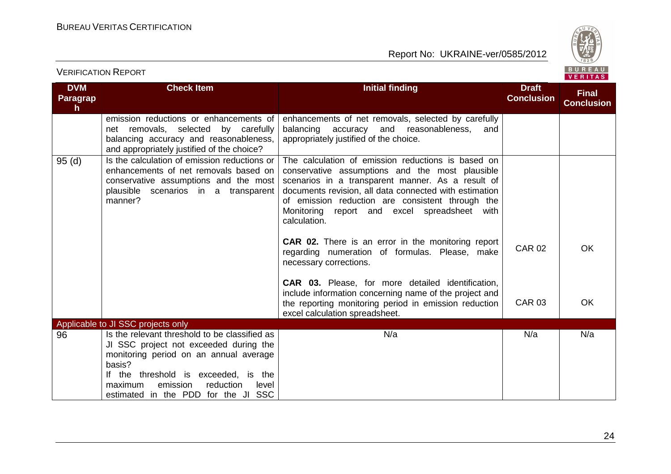

| <b>DVM</b><br><b>Paragrap</b><br>h. | <b>Check Item</b>                                                                                                                                                                                                                                                       | <b>Initial finding</b>                                                                                                                                                                                                                                                                                                                   | <b>Draft</b><br><b>Conclusion</b> | <b>Final</b><br><b>Conclusion</b> |
|-------------------------------------|-------------------------------------------------------------------------------------------------------------------------------------------------------------------------------------------------------------------------------------------------------------------------|------------------------------------------------------------------------------------------------------------------------------------------------------------------------------------------------------------------------------------------------------------------------------------------------------------------------------------------|-----------------------------------|-----------------------------------|
|                                     | emission reductions or enhancements of<br>net removals, selected by carefully<br>balancing accuracy and reasonableness,<br>and appropriately justified of the choice?                                                                                                   | enhancements of net removals, selected by carefully<br>balancing accuracy and reasonableness,<br>and<br>appropriately justified of the choice.                                                                                                                                                                                           |                                   |                                   |
| 95(d)                               | Is the calculation of emission reductions or<br>enhancements of net removals based on<br>conservative assumptions and the most<br>plausible scenarios in a transparent<br>manner?                                                                                       | The calculation of emission reductions is based on<br>conservative assumptions and the most plausible<br>scenarios in a transparent manner. As a result of<br>documents revision, all data connected with estimation<br>of emission reduction are consistent through the<br>Monitoring report and excel spreadsheet with<br>calculation. |                                   |                                   |
|                                     |                                                                                                                                                                                                                                                                         | <b>CAR 02.</b> There is an error in the monitoring report<br>regarding numeration of formulas. Please, make<br>necessary corrections.                                                                                                                                                                                                    | <b>CAR 02</b>                     | <b>OK</b>                         |
|                                     |                                                                                                                                                                                                                                                                         | <b>CAR 03.</b> Please, for more detailed identification,<br>include information concerning name of the project and<br>the reporting monitoring period in emission reduction<br>excel calculation spreadsheet.                                                                                                                            | <b>CAR 03</b>                     | OK                                |
|                                     | Applicable to JI SSC projects only                                                                                                                                                                                                                                      |                                                                                                                                                                                                                                                                                                                                          |                                   |                                   |
| 96                                  | Is the relevant threshold to be classified as<br>JI SSC project not exceeded during the<br>monitoring period on an annual average<br>basis?<br>If the threshold is exceeded, is the<br>emission<br>reduction<br>maximum<br>level<br>estimated in the PDD for the JI SSC | N/a                                                                                                                                                                                                                                                                                                                                      | N/a                               | N/a                               |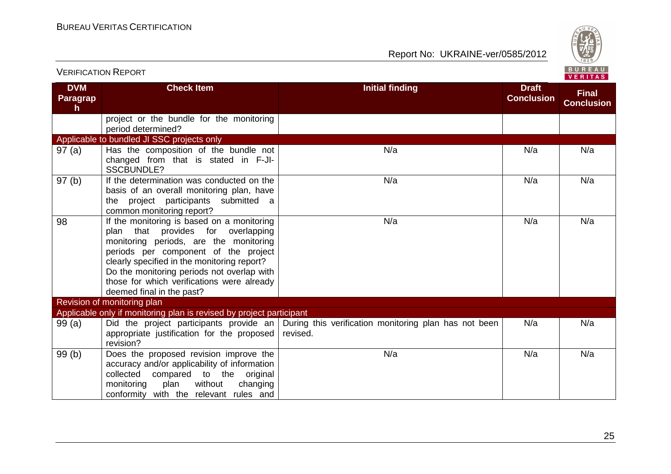Report No: UKRAINE-ver/0585/2012



| <b>DVM</b><br>Paragrap | <b>Check Item</b>                                                    | <b>Initial finding</b>                                                                        | <b>Draft</b><br><b>Conclusion</b> | <b>Final</b><br><b>Conclusion</b> |
|------------------------|----------------------------------------------------------------------|-----------------------------------------------------------------------------------------------|-----------------------------------|-----------------------------------|
| h                      |                                                                      |                                                                                               |                                   |                                   |
|                        | project or the bundle for the monitoring                             |                                                                                               |                                   |                                   |
|                        | period determined?                                                   |                                                                                               |                                   |                                   |
|                        | Applicable to bundled JI SSC projects only                           |                                                                                               |                                   |                                   |
| 97(a)                  | Has the composition of the bundle not                                | N/a                                                                                           | N/a                               | N/a                               |
|                        | changed from that is stated in F-JI-<br><b>SSCBUNDLE?</b>            |                                                                                               |                                   |                                   |
| 97(b)                  | If the determination was conducted on the                            | N/a                                                                                           | N/a                               | N/a                               |
|                        | basis of an overall monitoring plan, have                            |                                                                                               |                                   |                                   |
|                        | the project participants submitted a                                 |                                                                                               |                                   |                                   |
|                        | common monitoring report?                                            |                                                                                               |                                   |                                   |
| 98                     | If the monitoring is based on a monitoring                           | N/a                                                                                           | N/a                               | N/a                               |
|                        | plan that provides for overlapping                                   |                                                                                               |                                   |                                   |
|                        | monitoring periods, are the monitoring                               |                                                                                               |                                   |                                   |
|                        | periods per component of the project                                 |                                                                                               |                                   |                                   |
|                        | clearly specified in the monitoring report?                          |                                                                                               |                                   |                                   |
|                        | Do the monitoring periods not overlap with                           |                                                                                               |                                   |                                   |
|                        | those for which verifications were already                           |                                                                                               |                                   |                                   |
|                        | deemed final in the past?                                            |                                                                                               |                                   |                                   |
|                        | Revision of monitoring plan                                          |                                                                                               |                                   |                                   |
|                        | Applicable only if monitoring plan is revised by project participant |                                                                                               |                                   |                                   |
| 99(a)                  |                                                                      | Did the project participants provide an During this verification monitoring plan has not been | N/a                               | N/a                               |
|                        | appropriate justification for the proposed                           | revised.                                                                                      |                                   |                                   |
|                        | revision?                                                            |                                                                                               |                                   |                                   |
| 99(b)                  | Does the proposed revision improve the                               | N/a                                                                                           | N/a                               | N/a                               |
|                        | accuracy and/or applicability of information                         |                                                                                               |                                   |                                   |
|                        | collected compared to the original                                   |                                                                                               |                                   |                                   |
|                        | monitoring<br>plan<br>without<br>changing                            |                                                                                               |                                   |                                   |
|                        | conformity with the relevant rules and                               |                                                                                               |                                   |                                   |

#### 25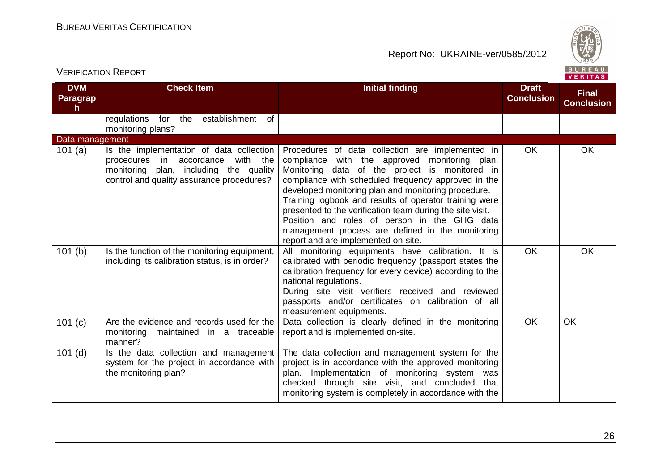

| <b>DVM</b><br><b>Paragrap</b><br>h. | <b>Check Item</b>                                                                                                                                                          | <b>Initial finding</b>                                                                                                                                                                                                                                                                                                                                                                                                                                                                                                              | <b>Draft</b><br><b>Conclusion</b> | <b>Final</b><br><b>Conclusion</b> |
|-------------------------------------|----------------------------------------------------------------------------------------------------------------------------------------------------------------------------|-------------------------------------------------------------------------------------------------------------------------------------------------------------------------------------------------------------------------------------------------------------------------------------------------------------------------------------------------------------------------------------------------------------------------------------------------------------------------------------------------------------------------------------|-----------------------------------|-----------------------------------|
|                                     | regulations for the<br>establishment of<br>monitoring plans?                                                                                                               |                                                                                                                                                                                                                                                                                                                                                                                                                                                                                                                                     |                                   |                                   |
| Data management                     |                                                                                                                                                                            |                                                                                                                                                                                                                                                                                                                                                                                                                                                                                                                                     |                                   |                                   |
| 101 $(a)$                           | Is the implementation of data collection<br>accordance<br>with the<br>procedures in<br>monitoring plan, including the quality<br>control and quality assurance procedures? | Procedures of data collection are implemented in<br>compliance with the approved monitoring plan.<br>Monitoring data of the project is monitored in<br>compliance with scheduled frequency approved in the<br>developed monitoring plan and monitoring procedure.<br>Training logbook and results of operator training were<br>presented to the verification team during the site visit.<br>Position and roles of person in the GHG data<br>management process are defined in the monitoring<br>report and are implemented on-site. | OK                                | OK                                |
| 101(b)                              | Is the function of the monitoring equipment,<br>including its calibration status, is in order?                                                                             | All monitoring equipments have calibration. It is<br>calibrated with periodic frequency (passport states the<br>calibration frequency for every device) according to the<br>national regulations.<br>During site visit verifiers received and reviewed<br>passports and/or certificates on calibration of all<br>measurement equipments.                                                                                                                                                                                            | OK                                | OK                                |
| 101(c)                              | Are the evidence and records used for the<br>monitoring maintained in a traceable<br>manner?                                                                               | Data collection is clearly defined in the monitoring<br>report and is implemented on-site.                                                                                                                                                                                                                                                                                                                                                                                                                                          | OK                                | <b>OK</b>                         |
| $101$ (d)                           | Is the data collection and management<br>system for the project in accordance with<br>the monitoring plan?                                                                 | The data collection and management system for the<br>project is in accordance with the approved monitoring<br>plan. Implementation of monitoring system was<br>checked through site visit, and concluded that<br>monitoring system is completely in accordance with the                                                                                                                                                                                                                                                             |                                   |                                   |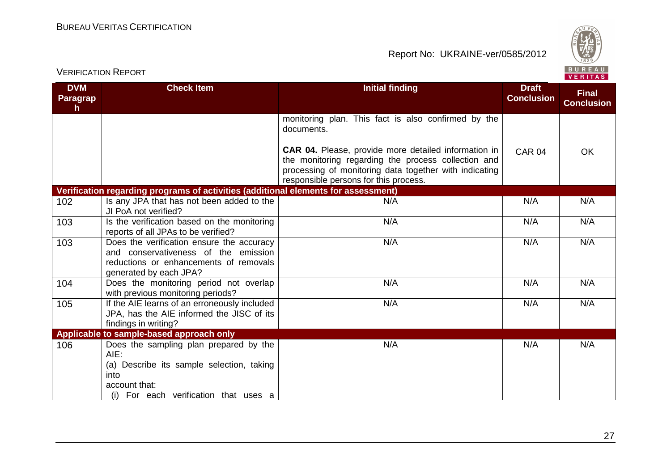

| <b>DVM</b>           | <b>Check Item</b>                                                                                                                                             | <b>Initial finding</b>                                                                                                                                                                                                                            | <b>Draft</b>      |                                   |
|----------------------|---------------------------------------------------------------------------------------------------------------------------------------------------------------|---------------------------------------------------------------------------------------------------------------------------------------------------------------------------------------------------------------------------------------------------|-------------------|-----------------------------------|
| <b>Paragrap</b><br>h |                                                                                                                                                               |                                                                                                                                                                                                                                                   | <b>Conclusion</b> | <b>Final</b><br><b>Conclusion</b> |
|                      |                                                                                                                                                               | monitoring plan. This fact is also confirmed by the<br>documents.<br><b>CAR 04.</b> Please, provide more detailed information in<br>the monitoring regarding the process collection and<br>processing of monitoring data together with indicating | <b>CAR 04</b>     | OK                                |
|                      |                                                                                                                                                               | responsible persons for this process.                                                                                                                                                                                                             |                   |                                   |
|                      | Verification regarding programs of activities (additional elements for assessment)                                                                            |                                                                                                                                                                                                                                                   |                   |                                   |
| 102                  | Is any JPA that has not been added to the<br>JI PoA not verified?                                                                                             | N/A                                                                                                                                                                                                                                               | N/A               | N/A                               |
| 103                  | Is the verification based on the monitoring<br>reports of all JPAs to be verified?                                                                            | N/A                                                                                                                                                                                                                                               | N/A               | N/A                               |
| 103                  | Does the verification ensure the accuracy<br>and conservativeness of the emission<br>reductions or enhancements of removals<br>generated by each JPA?         | N/A                                                                                                                                                                                                                                               | N/A               | N/A                               |
| 104                  | Does the monitoring period not overlap<br>with previous monitoring periods?                                                                                   | N/A                                                                                                                                                                                                                                               | N/A               | N/A                               |
| 105                  | If the AIE learns of an erroneously included<br>JPA, has the AIE informed the JISC of its<br>findings in writing?                                             | N/A                                                                                                                                                                                                                                               | N/A               | N/A                               |
|                      | Applicable to sample-based approach only                                                                                                                      |                                                                                                                                                                                                                                                   |                   |                                   |
| 106                  | Does the sampling plan prepared by the<br>AIE:<br>(a) Describe its sample selection, taking<br>into<br>account that:<br>(i) For each verification that uses a | N/A                                                                                                                                                                                                                                               | N/A               | N/A                               |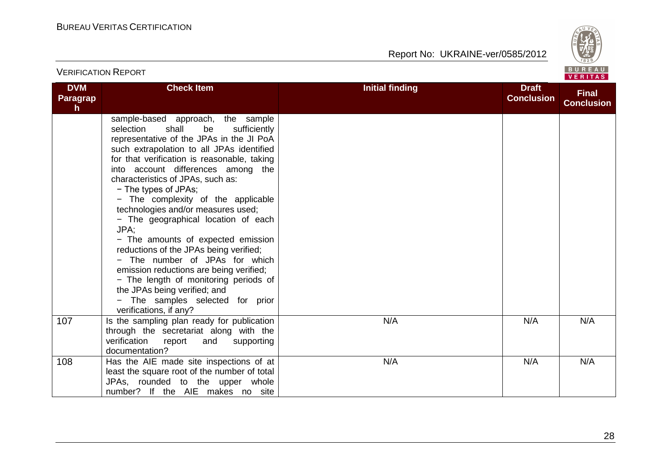

|                                               | <b>VERIFICATION REPORT</b>                                                                                                                                                                                                                                                                                                                                                                                                                                                                                                                                                                                                                                                                                                                              |                        |                                   | BUREAU<br><b>VERITAS</b>          |  |
|-----------------------------------------------|---------------------------------------------------------------------------------------------------------------------------------------------------------------------------------------------------------------------------------------------------------------------------------------------------------------------------------------------------------------------------------------------------------------------------------------------------------------------------------------------------------------------------------------------------------------------------------------------------------------------------------------------------------------------------------------------------------------------------------------------------------|------------------------|-----------------------------------|-----------------------------------|--|
| <b>DVM</b><br><b>Paragrap</b><br>$\mathsf{h}$ | <b>Check Item</b>                                                                                                                                                                                                                                                                                                                                                                                                                                                                                                                                                                                                                                                                                                                                       | <b>Initial finding</b> | <b>Draft</b><br><b>Conclusion</b> | <b>Final</b><br><b>Conclusion</b> |  |
|                                               | sample-based approach, the sample<br>shall<br>be<br>sufficiently<br>selection<br>representative of the JPAs in the JI PoA<br>such extrapolation to all JPAs identified<br>for that verification is reasonable, taking<br>into account differences among the<br>characteristics of JPAs, such as:<br>- The types of JPAs;<br>- The complexity of the applicable<br>technologies and/or measures used;<br>- The geographical location of each<br>JPA;<br>- The amounts of expected emission<br>reductions of the JPAs being verified;<br>- The number of JPAs for which<br>emission reductions are being verified;<br>- The length of monitoring periods of<br>the JPAs being verified; and<br>- The samples selected for prior<br>verifications, if any? |                        |                                   |                                   |  |
| 107                                           | Is the sampling plan ready for publication<br>through the secretariat along with the<br>verification<br>report<br>and<br>supporting<br>documentation?                                                                                                                                                                                                                                                                                                                                                                                                                                                                                                                                                                                                   | N/A                    | N/A                               | N/A                               |  |
| 108                                           | Has the AIE made site inspections of at<br>least the square root of the number of total<br>JPAs, rounded to the upper whole<br>number? If the AIE makes no site                                                                                                                                                                                                                                                                                                                                                                                                                                                                                                                                                                                         | N/A                    | N/A                               | N/A                               |  |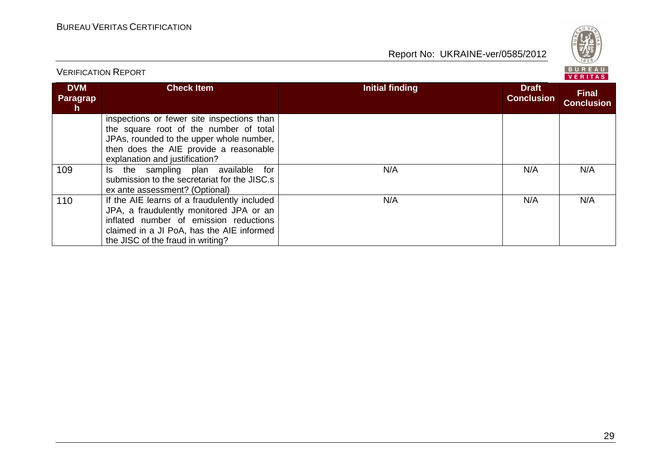Report No: UKRAINE-ver/0585/2012



#### **DVM ParagraphCheck Item Initial finding Draft Conclusion Final Conclusion**inspections or fewer site inspections than the square root of the number of total JPAs, rounded to the upper whole number, then does the AIE provide a reasonable explanation and justification?109 Is the sampling plan available for submission to the secretariat for the JISC.s ex ante assessment? (Optional)110 | If the AIE learns of a fraudulently included N/AA N/A N/A JPA, a fraudulently monitored JPA or an inflated number of emission reductions claimed in a JI PoA, has the AIE informed the JISC of the fraud in writing?N/AA N/A N/A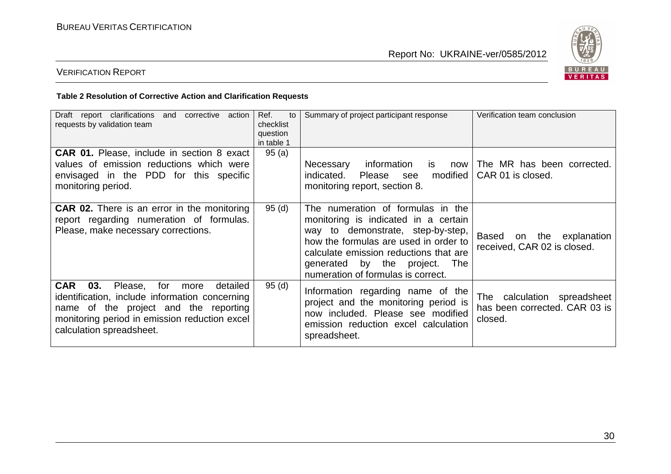

# VERIFICATION REPORT

#### **Table 2 Resolution of Corrective Action and Clarification Requests**

| clarifications<br>corrective action<br>Draft<br>and<br>report<br>requests by validation team                                                                                                                                 | Ref.<br>to<br>checklist<br>question<br>in table 1 | Summary of project participant response                                                                                                                                                                                                                                     | Verification team conclusion                                               |
|------------------------------------------------------------------------------------------------------------------------------------------------------------------------------------------------------------------------------|---------------------------------------------------|-----------------------------------------------------------------------------------------------------------------------------------------------------------------------------------------------------------------------------------------------------------------------------|----------------------------------------------------------------------------|
| <b>CAR 01.</b> Please, include in section 8 exact<br>values of emission reductions which were<br>envisaged in the PDD for this specific<br>monitoring period.                                                                | 95(a)                                             | information<br>Necessary<br>is.<br>now<br>modified<br>indicated.<br>Please<br>see<br>monitoring report, section 8.                                                                                                                                                          | The MR has been corrected.<br>CAR 01 is closed.                            |
| <b>CAR 02.</b> There is an error in the monitoring<br>report regarding numeration of formulas.<br>Please, make necessary corrections.                                                                                        | 95(d)                                             | The numeration of formulas in the<br>monitoring is indicated in a certain<br>way to demonstrate, step-by-step,<br>how the formulas are used in order to<br>calculate emission reductions that are<br>generated by the project.<br>The<br>numeration of formulas is correct. | <b>Based</b><br>the explanation<br>on<br>received, CAR 02 is closed.       |
| <b>CAR</b><br>03.<br>Please, for<br>detailed<br>more<br>identification, include information concerning<br>name of the project and the reporting<br>monitoring period in emission reduction excel<br>calculation spreadsheet. | 95 (d)                                            | Information regarding name of the<br>project and the monitoring period is<br>now included. Please see modified<br>emission reduction excel calculation<br>spreadsheet.                                                                                                      | calculation spreadsheet<br>The<br>has been corrected. CAR 03 is<br>closed. |